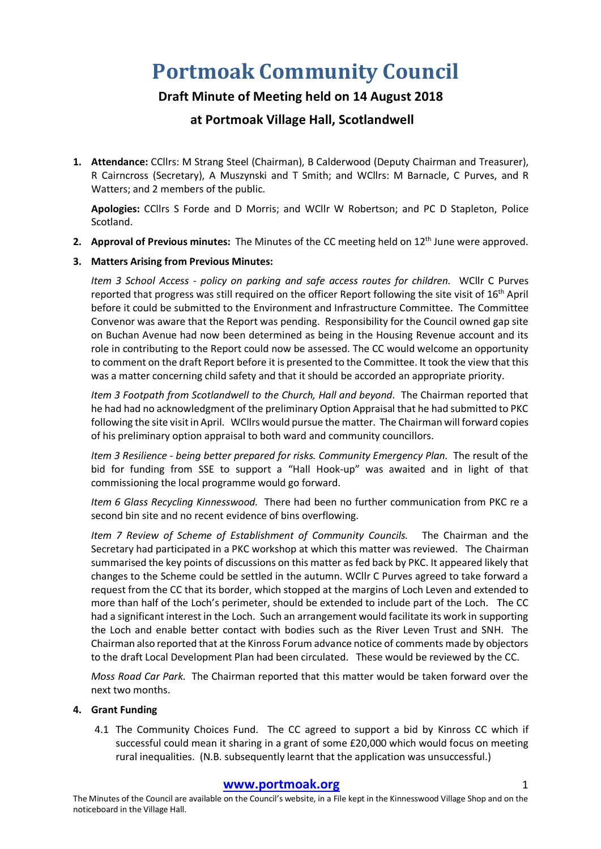# **Portmoak Community Council**

## **Draft Minute of Meeting held on 14 August 2018**

### **at Portmoak Village Hall, Scotlandwell**

**1. Attendance:** CCllrs: M Strang Steel (Chairman), B Calderwood (Deputy Chairman and Treasurer), R Cairncross (Secretary), A Muszynski and T Smith; and WCllrs: M Barnacle, C Purves, and R Watters; and 2 members of the public.

**Apologies:** CCllrs S Forde and D Morris; and WCllr W Robertson; and PC D Stapleton, Police Scotland.

2. **Approval of Previous minutes:** The Minutes of the CC meeting held on 12<sup>th</sup> June were approved.

#### **3. Matters Arising from Previous Minutes:**

*Item 3 School Access - policy on parking and safe access routes for children.* WCllr C Purves reported that progress was still required on the officer Report following the site visit of 16<sup>th</sup> April before it could be submitted to the Environment and Infrastructure Committee. The Committee Convenor was aware that the Report was pending. Responsibility for the Council owned gap site on Buchan Avenue had now been determined as being in the Housing Revenue account and its role in contributing to the Report could now be assessed. The CC would welcome an opportunity to comment on the draft Report before it is presented to the Committee. It took the view that this was a matter concerning child safety and that it should be accorded an appropriate priority.

*Item 3 Footpath from Scotlandwell to the Church, Hall and beyond*. The Chairman reported that he had had no acknowledgment of the preliminary Option Appraisal that he had submitted to PKC following the site visit in April. WCllrs would pursue the matter. The Chairman will forward copies of his preliminary option appraisal to both ward and community councillors.

*Item 3 Resilience - being better prepared for risks. Community Emergency Plan.* The result of the bid for funding from SSE to support a "Hall Hook-up" was awaited and in light of that commissioning the local programme would go forward.

*Item 6 Glass Recycling Kinnesswood.* There had been no further communication from PKC re a second bin site and no recent evidence of bins overflowing.

*Item 7 Review of Scheme of Establishment of Community Councils.* The Chairman and the Secretary had participated in a PKC workshop at which this matter was reviewed. The Chairman summarised the key points of discussions on this matter as fed back by PKC. It appeared likely that changes to the Scheme could be settled in the autumn. WCllr C Purves agreed to take forward a request from the CC that its border, which stopped at the margins of Loch Leven and extended to more than half of the Loch's perimeter, should be extended to include part of the Loch. The CC had a significant interest in the Loch. Such an arrangement would facilitate its work in supporting the Loch and enable better contact with bodies such as the River Leven Trust and SNH. The Chairman also reported that at the Kinross Forum advance notice of comments made by objectors to the draft Local Development Plan had been circulated. These would be reviewed by the CC.

*Moss Road Car Park.* The Chairman reported that this matter would be taken forward over the next two months.

#### **4. Grant Funding**

4.1 The Community Choices Fund. The CC agreed to support a bid by Kinross CC which if successful could mean it sharing in a grant of some £20,000 which would focus on meeting rural inequalities. (N.B. subsequently learnt that the application was unsuccessful.)

#### **www.portmoak.org** 1

The Minutes of the Council are available on the Council's website, in a File kept in the Kinnesswood Village Shop and on the noticeboard in the Village Hall.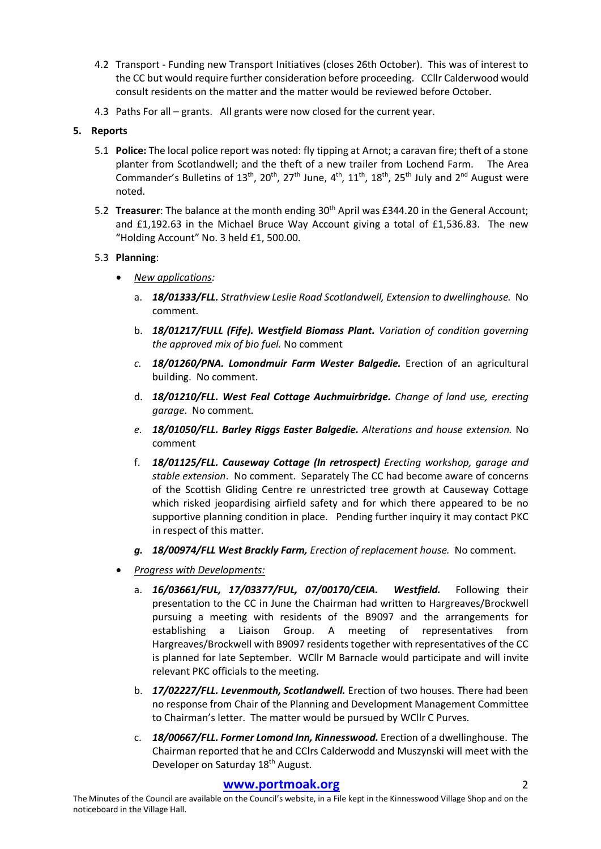- 4.2 Transport Funding new Transport Initiatives (closes 26th October). This was of interest to the CC but would require further consideration before proceeding. CCllr Calderwood would consult residents on the matter and the matter would be reviewed before October.
- 4.3 Paths For all grants. All grants were now closed for the current year.

#### **5. Reports**

- 5.1 **Police:** The local police report was noted: fly tipping at Arnot; a caravan fire; theft of a stone planter from Scotlandwell; and the theft of a new trailer from Lochend Farm. The Area Commander's Bulletins of  $13^{th}$ ,  $20^{th}$ ,  $27^{th}$  June,  $4^{th}$ ,  $11^{th}$ ,  $18^{th}$ ,  $25^{th}$  July and  $2^{nd}$  August were noted.
- 5.2 **Treasurer**: The balance at the month ending 30<sup>th</sup> April was £344.20 in the General Account; and £1,192.63 in the Michael Bruce Way Account giving a total of £1,536.83. The new "Holding Account" No. 3 held £1, 500.00.

#### 5.3 **Planning**:

- *New applications:*
	- a. *18/01333/FLL. Strathview Leslie Road Scotlandwell, Extension to dwellinghouse.* No comment.
	- b. *18/01217/FULL (Fife). Westfield Biomass Plant. Variation of condition governing the approved mix of bio fuel.* No comment
	- *c. 18/01260/PNA. Lomondmuir Farm Wester Balgedie.* Erection of an agricultural building. No comment.
	- d. *18/01210/FLL. West Feal Cottage Auchmuirbridge. Change of land use, erecting garage*. No comment.
	- *e. 18/01050/FLL. Barley Riggs Easter Balgedie. Alterations and house extension.* No comment
	- f. *18/01125/FLL. Causeway Cottage (In retrospect) Erecting workshop, garage and stable extension*. No comment. Separately The CC had become aware of concerns of the Scottish Gliding Centre re unrestricted tree growth at Causeway Cottage which risked jeopardising airfield safety and for which there appeared to be no supportive planning condition in place. Pending further inquiry it may contact PKC in respect of this matter.
	- *g. 18/00974/FLL West Brackly Farm, Erection of replacement house.* No comment.
- *Progress with Developments:*
	- a. *16/03661/FUL, 17/03377/FUL, 07/00170/CEIA. Westfield.* Following their presentation to the CC in June the Chairman had written to Hargreaves/Brockwell pursuing a meeting with residents of the B9097 and the arrangements for establishing a Liaison Group. A meeting of representatives from Hargreaves/Brockwell with B9097 residents together with representatives of the CC is planned for late September. WCllr M Barnacle would participate and will invite relevant PKC officials to the meeting.
	- b. *17/02227/FLL. Levenmouth, Scotlandwell.* Erection of two houses. There had been no response from Chair of the Planning and Development Management Committee to Chairman's letter. The matter would be pursued by WCllr C Purves.
	- c. *18/00667/FLL. Former Lomond Inn, Kinnesswood.* Erection of a dwellinghouse. The Chairman reported that he and CClrs Calderwodd and Muszynski will meet with the Developer on Saturday 18<sup>th</sup> August.

#### **www.portmoak.org** 2